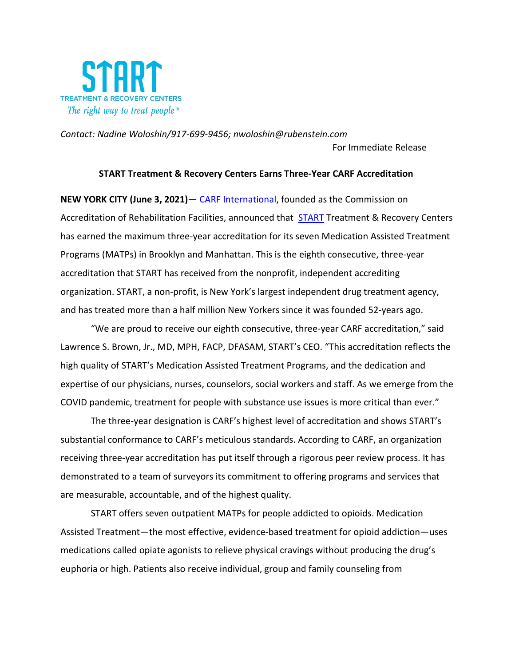

## *Contact: Nadine Woloshin/917-699-9456; [nwoloshin@rubenstein.com](mailto:nwoloshin@rubenstein.com)*

For Immediate Release

## **START Treatment & Recovery Centers Earns Three-Year CARF Accreditation**

**NEW YORK CITY (June 3, 2021)**— [CARF International,](http://www.carf.org/) founded as the Commission on Accreditation of Rehabilitation Facilities, announced that [START](http://www.startny.org/) Treatment & Recovery Centers has earned the maximum three-year accreditation for its seven Medication Assisted Treatment Programs (MATPs) in Brooklyn and Manhattan. This is the eighth consecutive, three-year accreditation that START has received from the nonprofit, independent accrediting organization. START, a non-profit, is New York's largest independent drug treatment agency, and has treated more than a half million New Yorkers since it was founded 52-years ago.

"We are proud to receive our eighth consecutive, three-year CARF accreditation," said Lawrence S. Brown, Jr., MD, MPH, FACP, DFASAM, START's CEO. "This accreditation reflects the high quality of START's Medication Assisted Treatment Programs, and the dedication and expertise of our physicians, nurses, counselors, social workers and staff. As we emerge from the COVID pandemic, treatment for people with substance use issues is more critical than ever."

The three-year designation is CARF's highest level of accreditation and shows START's substantial conformance to CARF's meticulous standards. According to CARF, an organization receiving three-year accreditation has put itself through a rigorous peer review process. It has demonstrated to a team of surveyors its commitment to offering programs and services that are measurable, accountable, and of the highest quality.

START offers seven outpatient MATPs for people addicted to opioids. Medication Assisted Treatment—the most effective, evidence-based treatment for opioid addiction—uses medications called opiate agonists to relieve physical cravings without producing the drug's euphoria or high. Patients also receive individual, group and family counseling from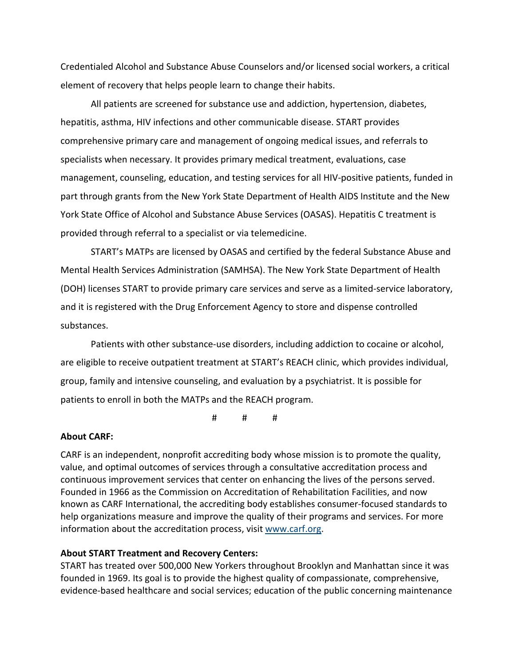Credentialed Alcohol and Substance Abuse Counselors and/or licensed social workers, a critical element of recovery that helps people learn to change their habits.

All patients are screened for substance use and addiction, hypertension, diabetes, hepatitis, asthma, HIV infections and other communicable disease. START provides comprehensive primary care and management of ongoing medical issues, and referrals to specialists when necessary. It provides primary medical treatment, evaluations, case management, counseling, education, and testing services for all HIV-positive patients, funded in part through grants from the New York State Department of Health AIDS Institute and the New York State Office of Alcohol and Substance Abuse Services (OASAS). Hepatitis C treatment is provided through referral to a specialist or via telemedicine.

START's MATPs are licensed by OASAS and certified by the federal Substance Abuse and Mental Health Services Administration (SAMHSA). The New York State Department of Health (DOH) licenses START to provide primary care services and serve as a limited-service laboratory, and it is registered with the Drug Enforcement Agency to store and dispense controlled substances.

Patients with other substance-use disorders, including addiction to cocaine or alcohol, are eligible to receive outpatient treatment at START's REACH clinic, which provides individual, group, family and intensive counseling, and evaluation by a psychiatrist. It is possible for patients to enroll in both the MATPs and the REACH program.

# # #

## **About CARF:**

CARF is an independent, nonprofit accrediting body whose mission is to promote the quality, value, and optimal outcomes of services through a consultative accreditation process and continuous improvement services that center on enhancing the lives of the persons served. Founded in 1966 as the Commission on Accreditation of Rehabilitation Facilities, and now known as CARF International, the accrediting body establishes consumer-focused standards to help organizations measure and improve the quality of their programs and services. For more information about the accreditation process, visit [www.carf.org.](http://www.carf.org/)

## **About START Treatment and Recovery Centers:**

START has treated over 500,000 New Yorkers throughout Brooklyn and Manhattan since it was founded in 1969. Its goal is to provide the highest quality of compassionate, comprehensive, evidence-based healthcare and social services; education of the public concerning maintenance